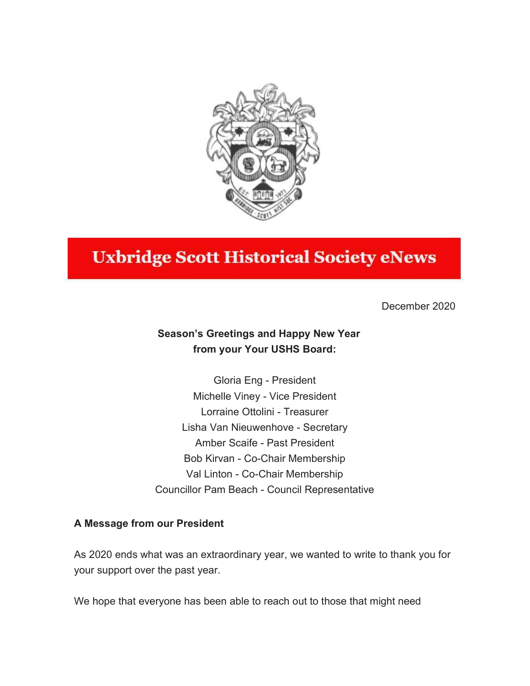

# **Uxbridge Scott Historical Society eNews**

December 2020

# Season's Greetings and Happy New Year from your Your USHS Board:

Gloria Eng - President Michelle Viney - Vice President Lorraine Ottolini - Treasurer Lisha Van Nieuwenhove - Secretary Amber Scaife - Past President Bob Kirvan - Co-Chair Membership Val Linton - Co-Chair Membership Councillor Pam Beach - Council Representative

## A Message from our President

As 2020 ends what was an extraordinary year, we wanted to write to thank you for your support over the past year.

We hope that everyone has been able to reach out to those that might need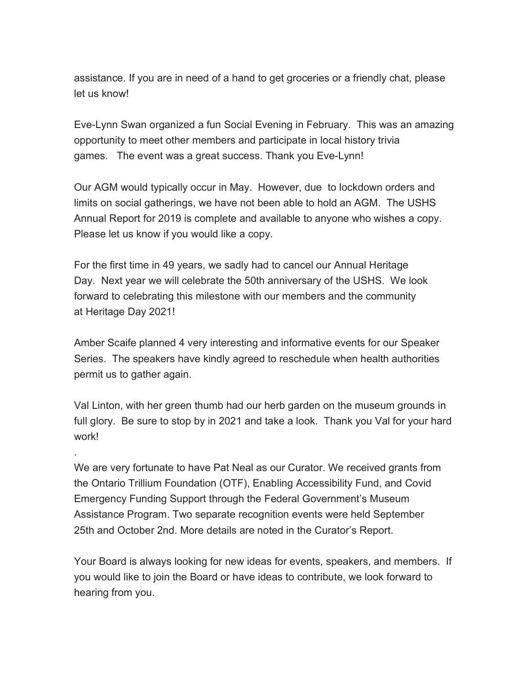assistance. If you are in need of a hand to get groceries or a friendly chat, please let us know!

Eve-Lynn Swan organized a fun Social Evening in February. This was an amazing opportunity to meet other members and participate in local history trivia games. The event was a great success. Thank you Eve-Lynn!

Our AGM would typically occur in May. However, due to lockdown orders and limits on social gatherings, we have not been able to hold an AGM. The USHS Annual Report for 2019 is complete and available to anyone who wishes a copy. Please let us know if you would like a copy.

For the first time in 49 years, we sadly had to cancel our Annual Heritage Day. Next year we will celebrate the 50th anniversary of the USHS. We look forward to celebrating this milestone with our members and the community at Heritage Day 2021!

Amber Scaife planned 4 very interesting and informative events for our Speaker Series. The speakers have kindly agreed to reschedule when health authorities permit us to gather again.

Val Linton, with her green thumb had our herb garden on the museum grounds in full glory. Be sure to stop by in 2021 and take a look. Thank you Val for your hard work!

We are very fortunate to have Pat Neal as our Curator. We received grants from the Ontario Trillium Foundation (OTF), Enabling Accessibility Fund, and Covid Emergency Funding Support through the Federal Government's Museum Assistance Program. Two separate recognition events were held September 25th and October 2nd. More details are noted in the Curator's Report.

.

Your Board is always looking for new ideas for events, speakers, and members. If you would like to join the Board or have ideas to contribute, we look forward to hearing from you.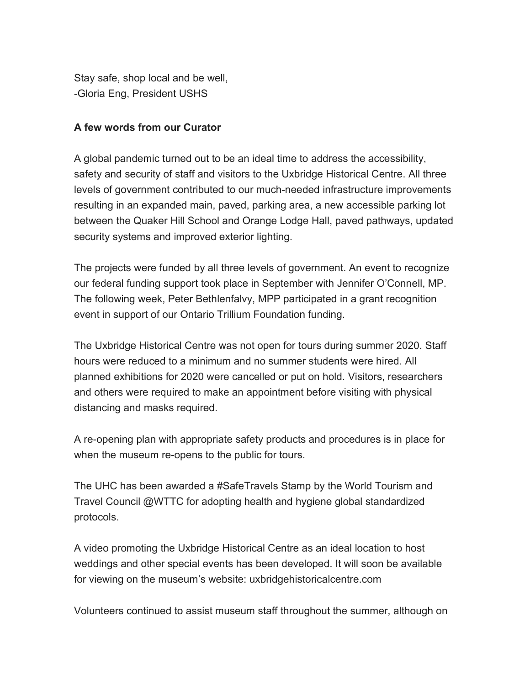Stay safe, shop local and be well, -Gloria Eng, President USHS

#### A few words from our Curator

A global pandemic turned out to be an ideal time to address the accessibility, safety and security of staff and visitors to the Uxbridge Historical Centre. All three levels of government contributed to our much-needed infrastructure improvements resulting in an expanded main, paved, parking area, a new accessible parking lot between the Quaker Hill School and Orange Lodge Hall, paved pathways, updated security systems and improved exterior lighting.

The projects were funded by all three levels of government. An event to recognize our federal funding support took place in September with Jennifer O'Connell, MP. The following week, Peter Bethlenfalvy, MPP participated in a grant recognition event in support of our Ontario Trillium Foundation funding.

The Uxbridge Historical Centre was not open for tours during summer 2020. Staff hours were reduced to a minimum and no summer students were hired. All planned exhibitions for 2020 were cancelled or put on hold. Visitors, researchers and others were required to make an appointment before visiting with physical distancing and masks required.

A re-opening plan with appropriate safety products and procedures is in place for when the museum re-opens to the public for tours.

The UHC has been awarded a #SafeTravels Stamp by the World Tourism and Travel Council @WTTC for adopting health and hygiene global standardized protocols.

A video promoting the Uxbridge Historical Centre as an ideal location to host weddings and other special events has been developed. It will soon be available for viewing on the museum's website: uxbridgehistoricalcentre.com

Volunteers continued to assist museum staff throughout the summer, although on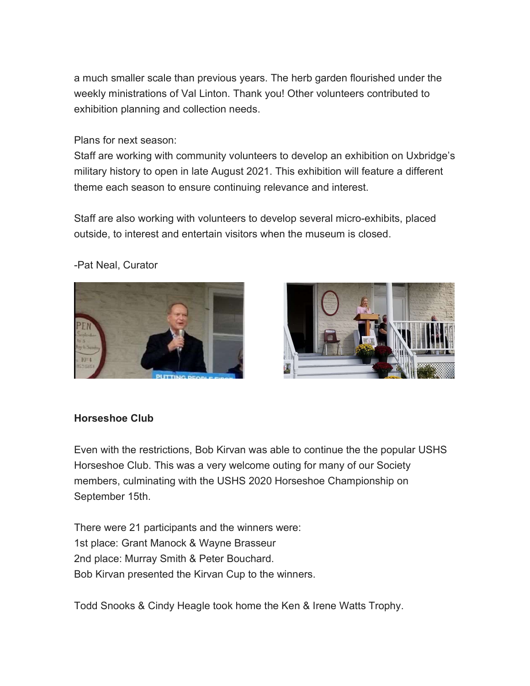a much smaller scale than previous years. The herb garden flourished under the weekly ministrations of Val Linton. Thank you! Other volunteers contributed to exhibition planning and collection needs.

#### Plans for next season:

Staff are working with community volunteers to develop an exhibition on Uxbridge's military history to open in late August 2021. This exhibition will feature a different theme each season to ensure continuing relevance and interest.

Staff are also working with volunteers to develop several micro-exhibits, placed outside, to interest and entertain visitors when the museum is closed.





#### -Pat Neal, Curator

#### Horseshoe Club

Even with the restrictions, Bob Kirvan was able to continue the the popular USHS Horseshoe Club. This was a very welcome outing for many of our Society members, culminating with the USHS 2020 Horseshoe Championship on September 15th.

There were 21 participants and the winners were: 1st place: Grant Manock & Wayne Brasseur 2nd place: Murray Smith & Peter Bouchard. Bob Kirvan presented the Kirvan Cup to the winners.

Todd Snooks & Cindy Heagle took home the Ken & Irene Watts Trophy.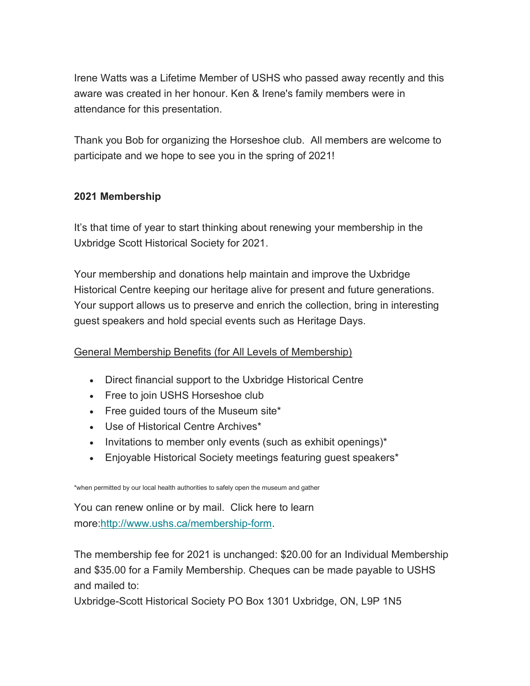Irene Watts was a Lifetime Member of USHS who passed away recently and this aware was created in her honour. Ken & Irene's family members were in attendance for this presentation.

Thank you Bob for organizing the Horseshoe club. All members are welcome to participate and we hope to see you in the spring of 2021!

# 2021 Membership

It's that time of year to start thinking about renewing your membership in the Uxbridge Scott Historical Society for 2021.

Your membership and donations help maintain and improve the Uxbridge Historical Centre keeping our heritage alive for present and future generations. Your support allows us to preserve and enrich the collection, bring in interesting guest speakers and hold special events such as Heritage Days.

## General Membership Benefits (for All Levels of Membership)

- Direct financial support to the Uxbridge Historical Centre
- Free to join USHS Horseshoe club
- Free quided tours of the Museum site\*
- Use of Historical Centre Archives\*
- $\bullet$  Invitations to member only events (such as exhibit openings)\*
- Enjoyable Historical Society meetings featuring guest speakers\*

\*when permitted by our local health authorities to safely open the museum and gather

You can renew online or by mail. Click here to learn more:http://www.ushs.ca/membership-form.

The membership fee for 2021 is unchanged: \$20.00 for an Individual Membership and \$35.00 for a Family Membership. Cheques can be made payable to USHS and mailed to:

Uxbridge-Scott Historical Society PO Box 1301 Uxbridge, ON, L9P 1N5